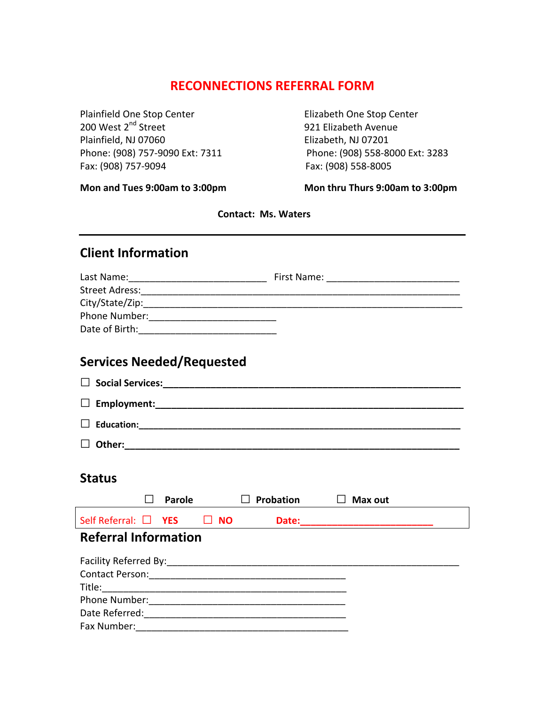## **RECONNECTIONS REFERRAL FORM**

Plainfield One Stop Center **The Content of Content** Elizabeth One Stop Center 200 West 2nd Street 921 Elizabeth Avenue Plainfield, NJ 07060 Elizabeth, NJ 07201 Fax: (908) 757‐9094 Fax: (908) 558‐8005

Phone: (908) 757‐9090 Ext: 7311 Phone: (908) 558‐8000 Ext: 3283

**Mon and Tues 9:00am to 3:00pm Mon thru Thurs 9:00am to 3:00pm**

 **Contact: Ms. Waters**

## **Client Information**

| Last Name:      | First Name: |  |
|-----------------|-------------|--|
| Street Adress:  |             |  |
| City/State/Zip: |             |  |
| Phone Number:   |             |  |
| Date of Birth:  |             |  |

## **Services Needed/Requested**

| <b>Status</b>                                                                                                  |        |           |           |                |  |
|----------------------------------------------------------------------------------------------------------------|--------|-----------|-----------|----------------|--|
|                                                                                                                | Parole |           | Probation | $\Box$ Max out |  |
|                                                                                                                |        |           |           |                |  |
| Self Referral: $\Box$ YES                                                                                      |        | $\Box$ NO |           |                |  |
| <b>Referral Information</b>                                                                                    |        |           |           |                |  |
|                                                                                                                |        |           |           |                |  |
|                                                                                                                |        |           |           |                |  |
| Contact Person: 2008 2009 2010 2010 2010 2010 2010 2011 2020 2021 2021 2022 2023 2024 2022 2023 2024 2022 2023 |        |           |           |                |  |
|                                                                                                                |        |           |           |                |  |
|                                                                                                                |        |           |           |                |  |